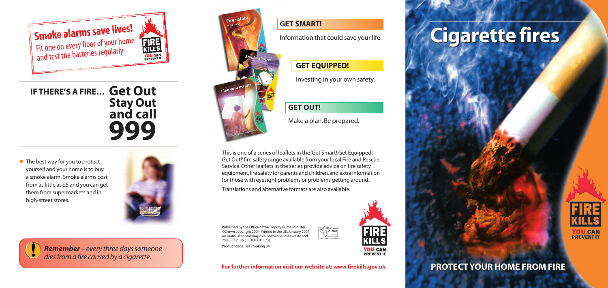Published by the Office of the Deputy Prime Minister. ©Crown copyright 2004.Printed in the UK,January 2004, on material containing 75% post-consumer waste and 25% ECF pulp (03DOCF01123) Product code: Fire smoking 04



**KILLS YOU CAN**<br>**PREVENT IT** 

FIRE

**For further information visit our website at: www.firekills.gov.uk**



• The best way for you to protect yourself and your home is to buy a smoke alarm. Smoke alarms cost from as little as £5 and you can get them from supermarkets and in high-street stores.





# **Cigarette fires Cigarette fires**



## **PROTECT YOUR HOME FROM FIRE PROTECT YOUR HOME FROM FIRE**

#### **GET SMART!**

Information that could save your life.

#### **GET EQUIPPED!**

Investing in your own safety.

## **GET OUT!**

Make a plan. Be prepared.

This is one of a series of leaflets in the 'Get Smart! Get Equipped! Get Out!'fire safety range available from your local Fire and Rescue Service.Other leaflets in the series provide advice on fire safety equipment,fire safety for parents and children,and extra information for those with eyesight problems or problems getting around.

Translations and alternative formats are also available.

**Get Out IF THERE'S A FIRE… Stay Out and call 999**



*Remember – every three days someone dies from a fire caused by a cigarette.*